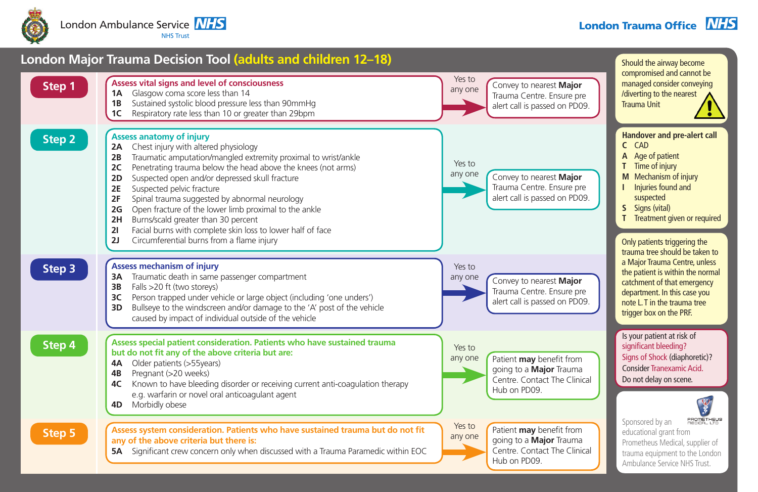